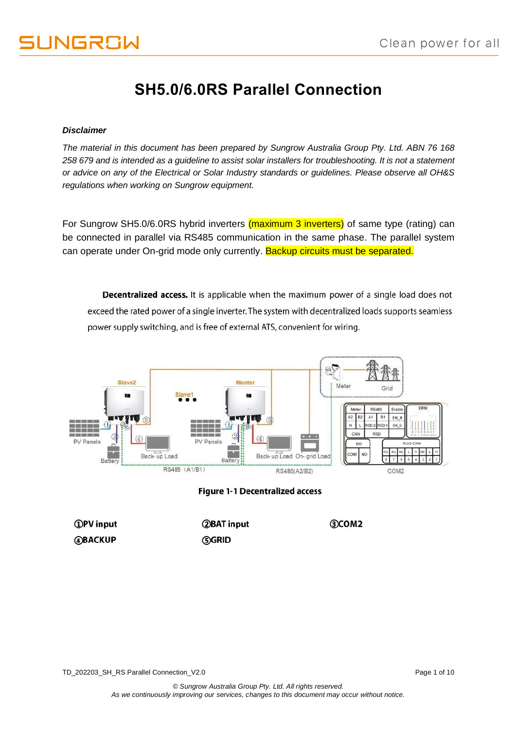### **SH5.0/6.0RS Parallel Connection**

#### *Disclaimer*

*The material in this document has been prepared by Sungrow Australia Group Pty. Ltd. ABN 76 168 258 679 and is intended as a guideline to assist solar installers for troubleshooting. It is not a statement or advice on any of the Electrical or Solar Industry standards or guidelines. Please observe all OH&S regulations when working on Sungrow equipment.*

For Sungrow SH5.0/6.0RS hybrid inverters (maximum 3 inverters) of same type (rating) can be connected in parallel via RS485 communication in the same phase. The parallel system can operate under On-grid mode only currently. Backup circuits must be separated.

Decentralized access. It is applicable when the maximum power of a single load does not exceed the rated power of a single inverter. The system with decentralized loads supports seamless power supply switching, and is free of external ATS, convenient for wiring.



**Figure 1-1 Decentralized access** 

| <b>OPV</b> input | <b>2BAT</b> input | <b>3COM2</b> |
|------------------|-------------------|--------------|
| <b>ABACKUP</b>   | <b>GGRID</b>      |              |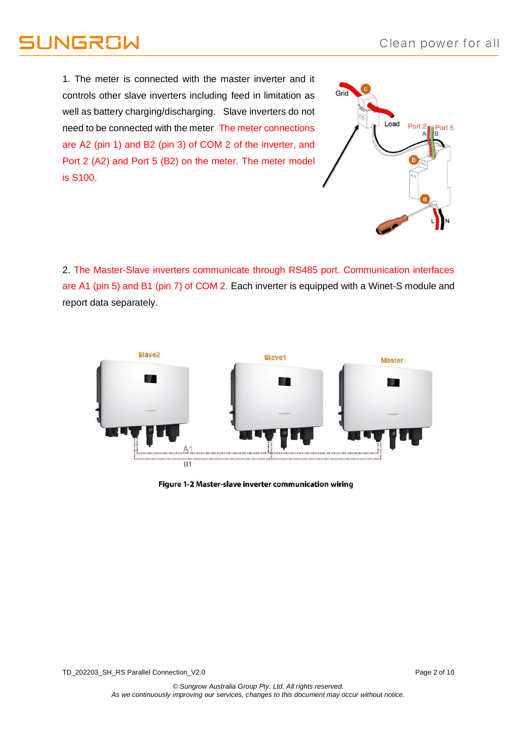## **JNGRSW**

1. The meter is connected with the master inverter and it controls other slave inverters including feed in limitation as well as battery charging/discharging. Slave inverters do not need to be connected with the meter. The meter connections are A2 (pin 1) and B2 (pin 3) of COM 2 of the inverter, and Port 2 (A2) and Port 5 (B2) on the meter. The meter model is S100.



2. The Master-Slave inverters communicate through RS485 port. Communication interfaces are A1 (pin 5) and B1 (pin 7) of COM 2. Each inverter is equipped with a Winet-S module and report data separately.



Figure 1-2 Master-slave inverter communication wiring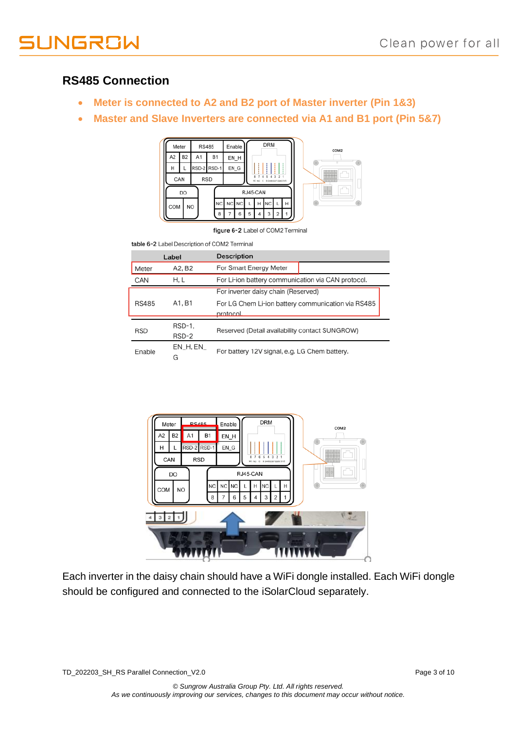

### **RS485 Connection**

- **Meter is connected to A2 and B2 port of Master inverter (Pin 1&3)**
- **Master and Slave Inverters are connected via A1 and B1 port (Pin 5&7)**



figure 6-2 Label of COM2 Terminal

table 6-2 Label Description of COM2 Terminal

|              | Label                                  | <b>Description</b>                                             |  |  |
|--------------|----------------------------------------|----------------------------------------------------------------|--|--|
| Meter        | A2, B2                                 | For Smart Energy Meter                                         |  |  |
| CAN          | H.L                                    | For Li-ion battery communication via CAN protocol.             |  |  |
|              |                                        | For inverter daisy chain (Reserved)                            |  |  |
| <b>RS485</b> | A1, B1                                 | For LG Chem Li-ion battery communication via RS485<br>protocol |  |  |
|              | RSD-1,                                 |                                                                |  |  |
| <b>RSD</b>   | RSD-2                                  | Reserved (Detail availability contact SUNGROW)                 |  |  |
| Enable       | $EN$ <sub>-H</sub> , $EN$ <sub>-</sub> | For battery 12V signal, e.g. LG Chem battery.                  |  |  |
|              | G                                      |                                                                |  |  |



Each inverter in the daisy chain should have a WiFi dongle installed. Each WiFi dongle should be configured and connected to the iSolarCloud separately.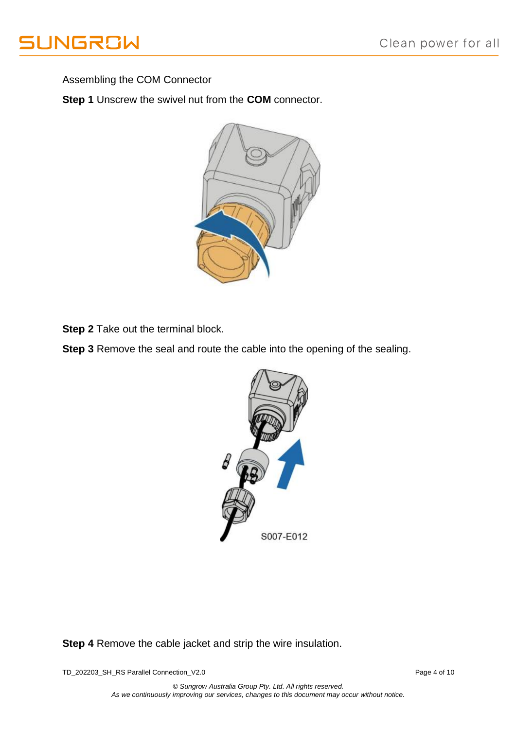

Assembling the COM Connector

**Step 1** Unscrew the swivel nut from the **COM** connector.



**Step 2** Take out the terminal block.

**Step 3** Remove the seal and route the cable into the opening of the sealing.



**Step 4** Remove the cable jacket and strip the wire insulation.

TD\_202203\_SH\_RS Parallel Connection\_V2.0 Page 4 of 10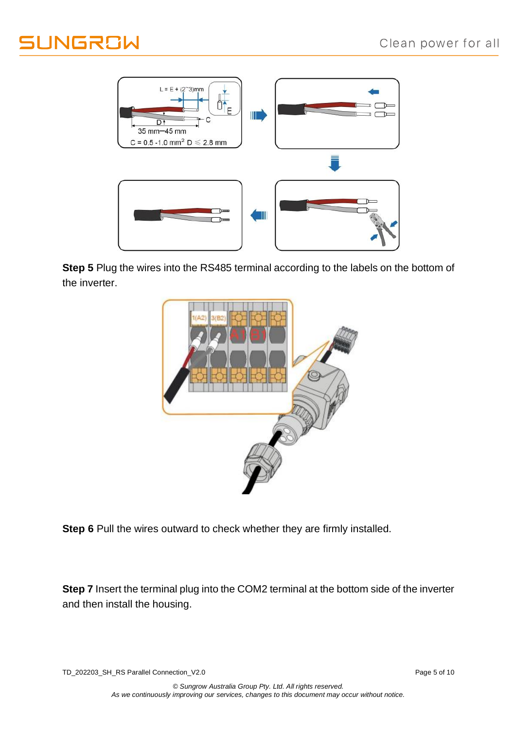# **JUNGROW**



**Step 5** Plug the wires into the RS485 terminal according to the labels on the bottom of the inverter.



**Step 6** Pull the wires outward to check whether they are firmly installed.

**Step 7** Insert the terminal plug into the COM2 terminal at the bottom side of the inverter and then install the housing.

TD\_202203\_SH\_RS Parallel Connection\_V2.0 Page 5 of 10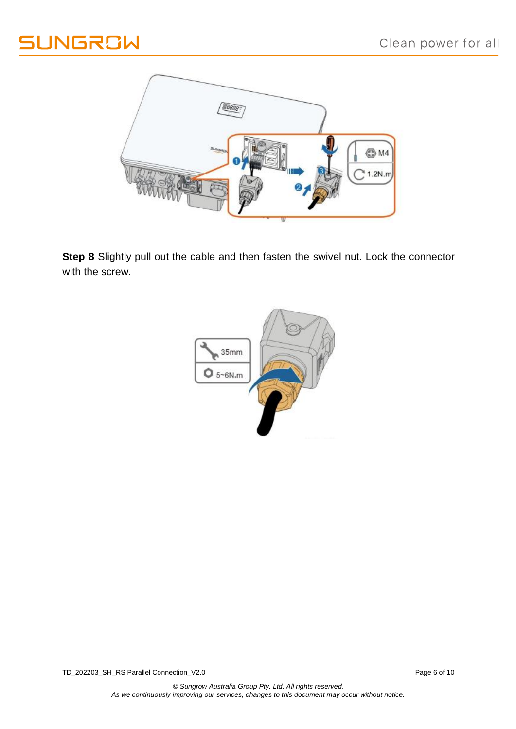

**Step 8** Slightly pull out the cable and then fasten the swivel nut. Lock the connector with the screw.

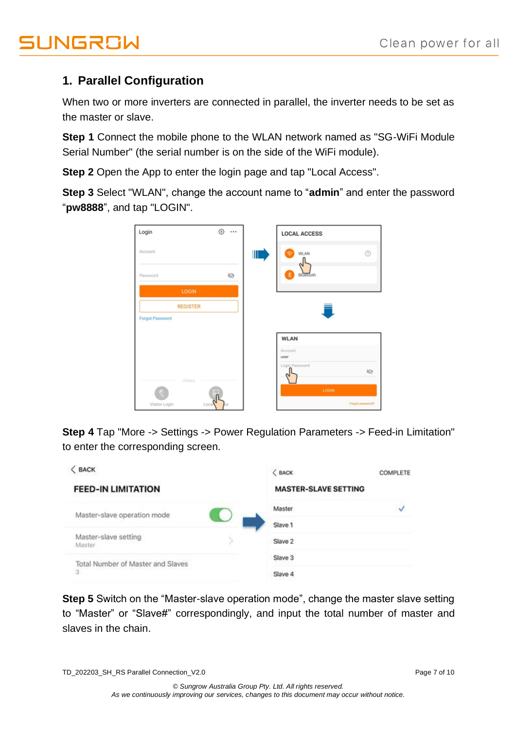### **1. Parallel Configuration**

When two or more inverters are connected in parallel, the inverter needs to be set as the master or slave.

**Step 1** Connect the mobile phone to the WLAN network named as "SG-WiFi Module Serial Number" (the serial number is on the side of the WiFi module).

**Step 2** Open the App to enter the login page and tap "Local Access".

**Step 3** Select "WLAN", change the account name to "**admin**" and enter the password "**pw8888**", and tap "LOGIN".

| Login                  | ⊙ … |   | <b>LOCAL ACCESS</b> |                  |
|------------------------|-----|---|---------------------|------------------|
| Account                |     | Ш | WLAN<br>⊜           | $^{\circ}$       |
| Password               | Ø   |   | 裳<br>Bluetooth      |                  |
| LOGIN                  |     |   |                     |                  |
| <b>REGISTER</b>        |     |   |                     |                  |
| <b>Forgot Password</b> |     |   |                     |                  |
|                        |     |   | <b>WLAN</b>         |                  |
|                        |     |   | Account<br>user     |                  |
| Others                 |     |   | Login Password      | Ø                |
|                        |     |   | LOGIN               |                  |
| Local<br>Visitor Login |     |   |                     | Forgot password? |

**Step 4** Tap "More -> Settings -> Power Regulation Parameters -> Feed-in Limitation" to enter the corresponding screen.



**Step 5** Switch on the "Master-slave operation mode", change the master slave setting to "Master" or "Slave#" correspondingly, and input the total number of master and slaves in the chain.

TD\_202203\_SH\_RS Parallel Connection\_V2.0 Page 7 of 10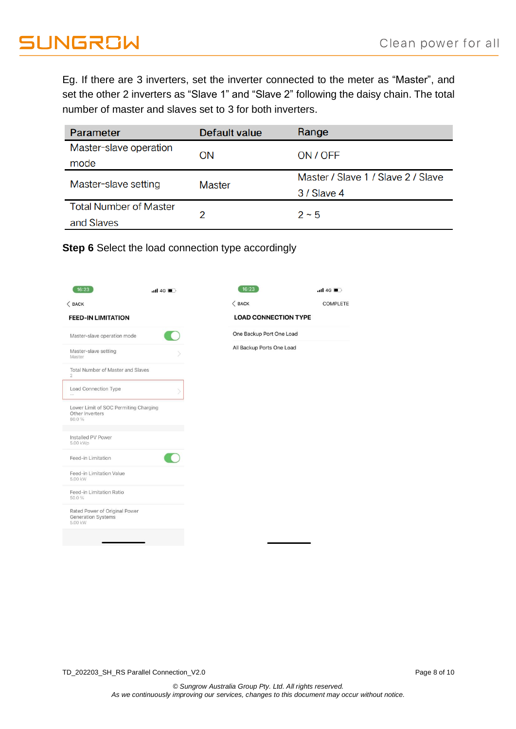Eg. If there are 3 inverters, set the inverter connected to the meter as "Master", and set the other 2 inverters as "Slave 1" and "Slave 2" following the daisy chain. The total number of master and slaves set to 3 for both inverters.

| Parameter                     | Default value | Range                              |  |  |
|-------------------------------|---------------|------------------------------------|--|--|
| Master-slave operation        | <b>ON</b>     | ON / OFF                           |  |  |
| mode                          |               |                                    |  |  |
| Master-slave setting          | Master        | Master / Slave 1 / Slave 2 / Slave |  |  |
|                               |               | 3 / Slave 4                        |  |  |
| <b>Total Number of Master</b> |               | $2 - 5$                            |  |  |
| and Slaves                    |               |                                    |  |  |

**Step 6** Select the load connection type accordingly

| 16:23                                                                 | $nH$ 4G $\blacksquare$ | 16:23                       | $nI$ 4G $\blacksquare$ |
|-----------------------------------------------------------------------|------------------------|-----------------------------|------------------------|
| $<$ BACK                                                              |                        | $<$ BACK                    | <b>COMPLETE</b>        |
| <b>FEED-IN LIMITATION</b>                                             |                        | <b>LOAD CONNECTION TYPE</b> |                        |
| Master-slave operation mode                                           |                        | One Backup Port One Load    |                        |
| Master-slave setting<br>Master                                        |                        | All Backup Ports One Load   |                        |
| Total Number of Master and Slaves<br>$\overline{2}$                   |                        |                             |                        |
| Load Connection Type<br>$\mathcal{L}_{\text{max}}$                    |                        |                             |                        |
| Lower Limit of SOC Permiting Charging<br>Other Inverters<br>80.0%     |                        |                             |                        |
| Installed PV Power<br>5.00 kWp                                        |                        |                             |                        |
| Feed-in Limitation                                                    |                        |                             |                        |
| Feed-in Limitation Value<br>5.00 kW                                   |                        |                             |                        |
| Feed-in Limitation Ratio<br>50.0%                                     |                        |                             |                        |
| Rated Power of Original Power<br><b>Generation Systems</b><br>5.00 kW |                        |                             |                        |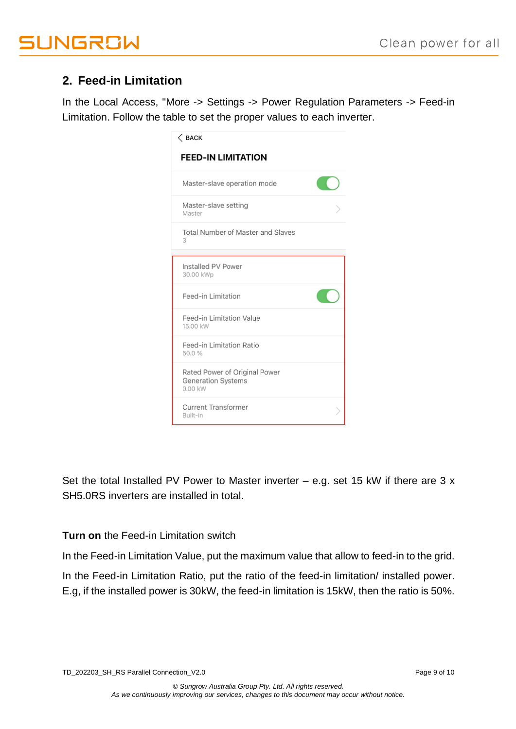### **2. Feed-in Limitation**

In the Local Access, "More -> Settings -> Power Regulation Parameters -> Feed-in Limitation. Follow the table to set the proper values to each inverter.

| $\langle$ back                                                 |  |
|----------------------------------------------------------------|--|
| <b>FEED-IN LIMITATION</b>                                      |  |
| Master-slave operation mode                                    |  |
| Master-slave setting<br>Master                                 |  |
| Total Number of Master and Slaves<br>3                         |  |
| Installed PV Power<br>30.00 kWp                                |  |
| Feed-in Limitation                                             |  |
| Feed-in Limitation Value<br>15.00 kW                           |  |
| Feed-in Limitation Ratio<br>50.0%                              |  |
| Rated Power of Original Power<br>Generation Systems<br>0.00 kW |  |
| <b>Current Transformer</b><br>Built-in                         |  |

Set the total Installed PV Power to Master inverter  $-$  e.g. set 15 kW if there are 3 x SH5.0RS inverters are installed in total.

#### **Turn on** the Feed-in Limitation switch

In the Feed-in Limitation Value, put the maximum value that allow to feed-in to the grid.

In the Feed-in Limitation Ratio, put the ratio of the feed-in limitation/ installed power. E.g, if the installed power is 30kW, the feed-in limitation is 15kW, then the ratio is 50%.

TD\_202203\_SH\_RS Parallel Connection\_V2.0 Page 9 of 10